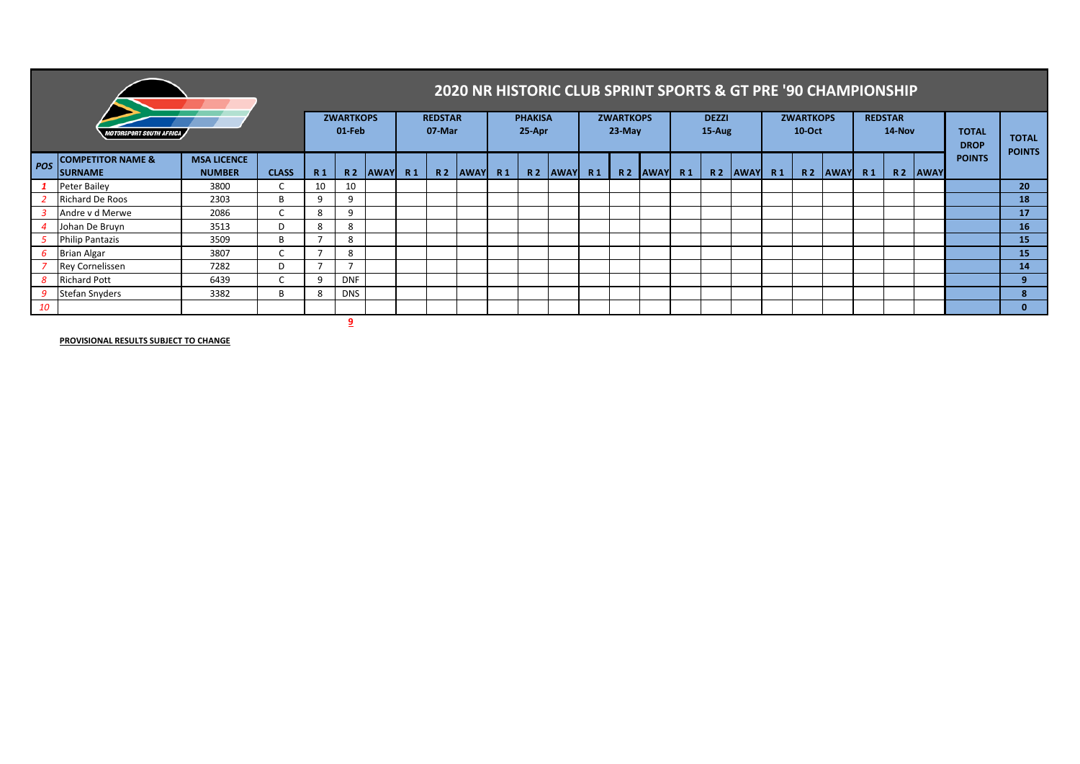|     |                                                | 2020 NR HISTORIC CLUB SPRINT SPORTS & GT PRE '90 CHAMPIONSHIP |              |                |                          |             |                |                          |            |  |                              |                                    |  |                           |                                    |  |                            |                     |                |                          |                                    |  |                             |                     |               |                 |
|-----|------------------------------------------------|---------------------------------------------------------------|--------------|----------------|--------------------------|-------------|----------------|--------------------------|------------|--|------------------------------|------------------------------------|--|---------------------------|------------------------------------|--|----------------------------|---------------------|----------------|--------------------------|------------------------------------|--|-----------------------------|---------------------|---------------|-----------------|
|     | <i><b>OTORSPORT SOUTH AFRICA</b></i>           | <b>ZWARTKOPS</b><br>01 Feb                                    |              |                | <b>REDSTAR</b><br>07 Mar |             |                | <b>PHAKISA</b><br>25-Apr |            |  | <b>ZWARTKOPS</b><br>$23-May$ |                                    |  | <b>DEZZI</b><br>$15$ -Aug |                                    |  | <b>ZWARTKOPS</b><br>10-Oct |                     |                | <b>REDSTAR</b><br>14-Nov |                                    |  | <b>TOTAL</b><br><b>DROP</b> | <b>TOTAL</b>        |               |                 |
| POS | <b>COMPETITOR NAME &amp;</b><br><b>SURNAME</b> | <b>MSA LICENCE</b><br><b>NUMBER</b>                           | <b>CLASS</b> | R <sub>1</sub> | <b>R2</b>                | <b>AWAY</b> | R <sub>1</sub> |                          | R2 AWAY R1 |  |                              | R <sub>2</sub> AWAY R <sub>1</sub> |  |                           | R <sub>2</sub> AWAY R <sub>1</sub> |  |                            | R <sub>2</sub> AWAY | R <sub>1</sub> |                          | R <sub>2</sub> AWAY R <sub>1</sub> |  |                             | R <sub>2</sub> AWAY | <b>POINTS</b> | <b>POINTS</b>   |
|     | Peter Bailey                                   | 3800                                                          | C            | 10             | 10                       |             |                |                          |            |  |                              |                                    |  |                           |                                    |  |                            |                     |                |                          |                                    |  |                             |                     |               | 20 <sup>°</sup> |
|     | <b>Richard De Roos</b>                         | 2303                                                          | B.           | a              | q                        |             |                |                          |            |  |                              |                                    |  |                           |                                    |  |                            |                     |                |                          |                                    |  |                             |                     |               | 18              |
|     | Andre v d Merwe                                | 2086                                                          | $\sim$       | 8              | q                        |             |                |                          |            |  |                              |                                    |  |                           |                                    |  |                            |                     |                |                          |                                    |  |                             |                     |               | 17 <sup>2</sup> |
|     | Johan De Bruyn                                 | 3513                                                          | D            | 8              | 8                        |             |                |                          |            |  |                              |                                    |  |                           |                                    |  |                            |                     |                |                          |                                    |  |                             |                     |               | 16              |
|     | <b>Philip Pantazis</b>                         | 3509                                                          | B            |                | 8                        |             |                |                          |            |  |                              |                                    |  |                           |                                    |  |                            |                     |                |                          |                                    |  |                             |                     |               | 15              |
|     | <b>Brian Algar</b>                             | 3807                                                          | $\sim$       |                | 8                        |             |                |                          |            |  |                              |                                    |  |                           |                                    |  |                            |                     |                |                          |                                    |  |                             |                     |               | 15              |
|     | <b>Rey Cornelissen</b>                         | 7282                                                          | D            |                |                          |             |                |                          |            |  |                              |                                    |  |                           |                                    |  |                            |                     |                |                          |                                    |  |                             |                     |               | 14              |
|     | <b>Richard Pott</b>                            | 6439                                                          | C            | a              | <b>DNF</b>               |             |                |                          |            |  |                              |                                    |  |                           |                                    |  |                            |                     |                |                          |                                    |  |                             |                     |               | 9               |
|     | <b>Stefan Snyders</b>                          | 3382                                                          | R            |                | <b>DNS</b>               |             |                |                          |            |  |                              |                                    |  |                           |                                    |  |                            |                     |                |                          |                                    |  |                             |                     |               | 8               |
| 10  |                                                |                                                               |              |                |                          |             |                |                          |            |  |                              |                                    |  |                           |                                    |  |                            |                     |                |                          |                                    |  |                             |                     |               | $\mathbf{0}$    |
|     |                                                |                                                               |              |                |                          |             |                |                          |            |  |                              |                                    |  |                           |                                    |  |                            |                     |                |                          |                                    |  |                             |                     |               |                 |

**PROVISIONAL RESULTS SUBJECT TO CHANGE**